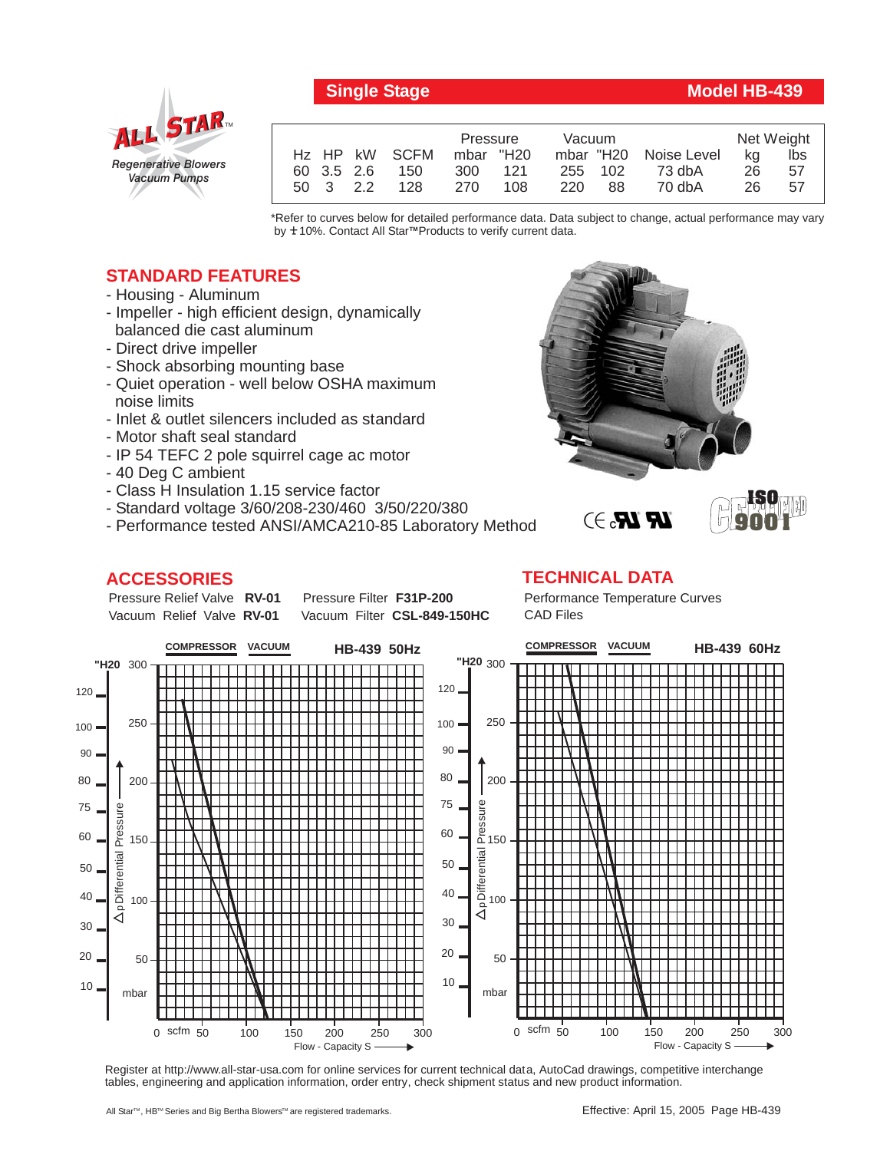

# *Regenerative Blowers Vacuum Pumps* ALL STAR

|                           | Vacuum<br>Pressure |           |                       | Net Weight |     |
|---------------------------|--------------------|-----------|-----------------------|------------|-----|
| H <sub>z</sub> HP kW SCFM | mbar "H20          |           | mbar "H20 Noise Level | ka         | lbs |
| 60 3.5 2.6<br>150         | 121<br>300         | 255 102   | 73 dbA                | 26         | 57  |
| 128<br>50 3 2.2           | 270<br>108         | 220<br>88 | 70 dbA                | 26         | 57  |

\*Refer to curves below for detailed performance data. Data subject to change, actual performance may vary by **+** 10%. Contact All Star™Products to verify current data.

## **STANDARD FEATURES**

- Housing Aluminum
- Impeller high efficient design, dynamically balanced die cast aluminum
- Direct drive impeller
- Shock absorbing mounting base
- Quiet operation well below OSHA maximum noise limits
- Inlet & outlet silencers included as standard
- Motor shaft seal standard
- IP 54 TEFC 2 pole squirrel cage ac motor
- 40 Deg C ambient
- Class H Insulation 1.15 service factor
- Standard voltage 3/60/208-230/460 3/50/220/380
- Performance tested ANSI/AMCA210-85 Laboratory Method

### **ACCESSORIES**

Pressure Relief Valve RV-01 Vacuum Relief Valve RV-01

**Pressure Filter F31P-200** Vacuum Filter CSL-849-150HC Performance Temperature Curves CAD Files

**LR LR.** 3

**TECHNICAL DATA**



Register at http://www.all-star-usa.com for online services for current technical data, AutoCad drawings, competitive interchange tables, engineering and application information, order entry, check shipment status and new product information.



**9001**

#### All Star™, HB™ Series and Big Bertha Blowers™ are registered trademarks.